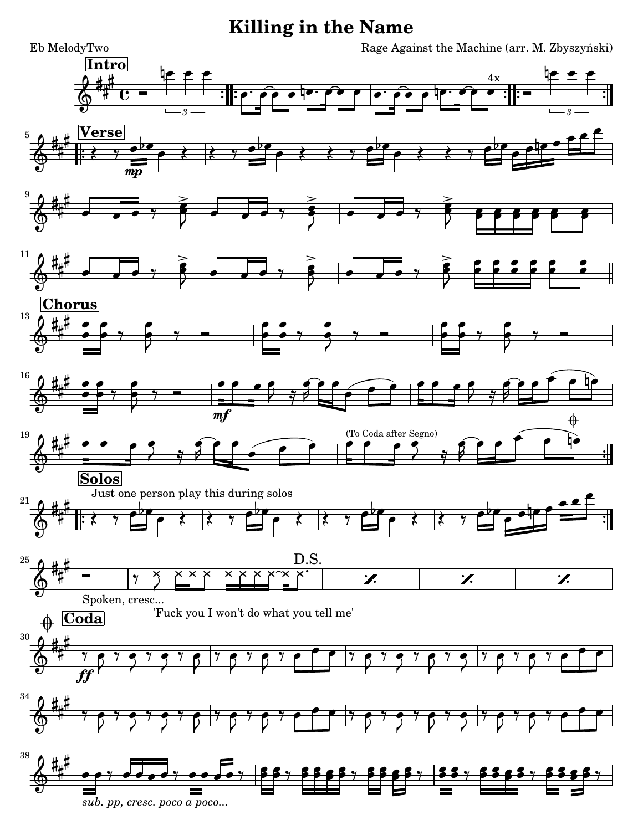## **Killing in the Name**